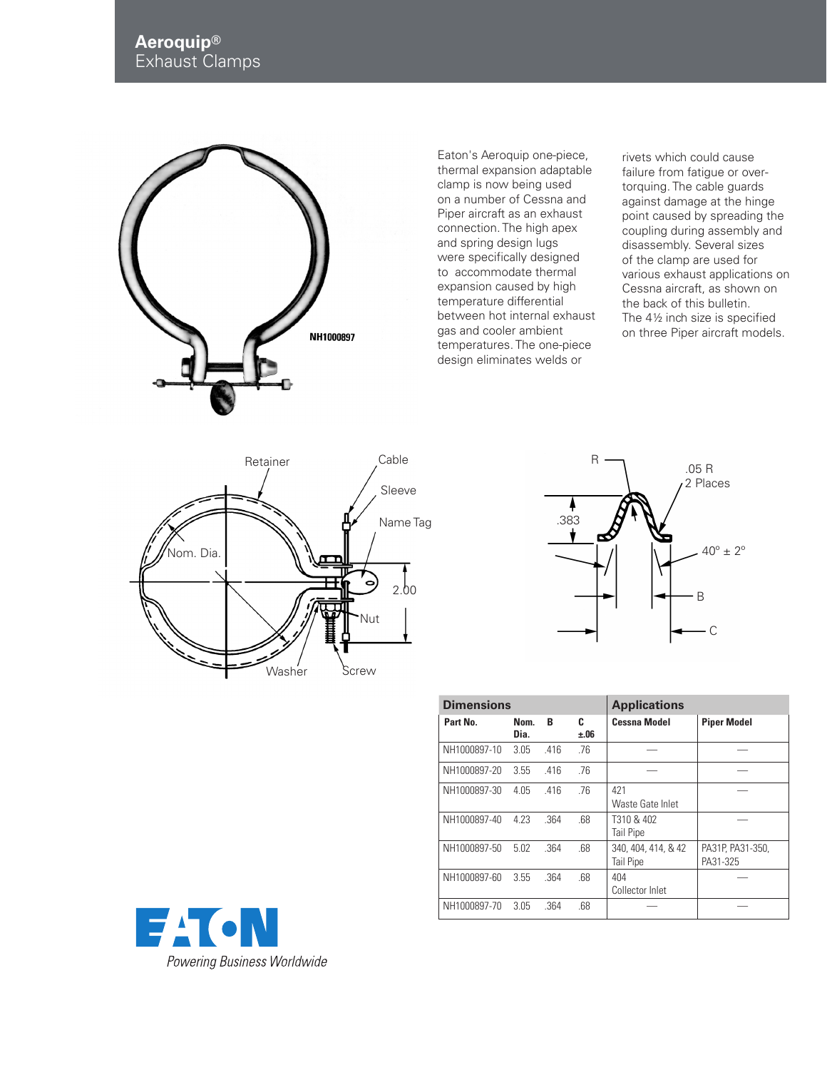

Eaton's Aeroquip one-piece, thermal expansion adaptable clamp is now being used on a number of Cessna and Piper aircraft as an exhaust connection. The high apex and spring design lugs were specifically designed to accommodate thermal expansion caused by high temperature differential between hot internal exhaust gas and cooler ambient temperatures. The one-piece design eliminates welds or

rivets which could cause failure from fatigue or overtorquing. The cable guards against damage at the hinge point caused by spreading the coupling during assembly and disassembly. Several sizes of the clamp are used for various exhaust applications on Cessna aircraft, as shown on the back of this bulletin. The 4½ inch size is specified on three Piper aircraft models.





| <b>Dimensions</b> |              |      |           | <b>Applications</b>              |                              |
|-------------------|--------------|------|-----------|----------------------------------|------------------------------|
| Part No.          | Nom.<br>Dia. | B    | C<br>±.06 | <b>Cessna Model</b>              | <b>Piper Model</b>           |
| NH1000897-10      | 3.05         | .416 | .76       |                                  |                              |
| NH1000897-20      | 3.55         | .416 | .76       |                                  |                              |
| NH1000897-30      | 4.05         | .416 | .76       | 421<br>Waste Gate Inlet          |                              |
| NH1000897-40      | 4 2 3        | .364 | .68       | T310 & 402<br>Tail Pipe          |                              |
| NH1000897-50      | 5.02         | .364 | .68       | 340, 404, 414, & 42<br>Tail Pipe | PA31P, PA31-350,<br>PA31-325 |
| NH1000897-60      | 3.55         | .364 | .68       | 404<br>Collector Inlet           |                              |
| NH1000897-70      | 3.05         | .364 | .68       |                                  |                              |